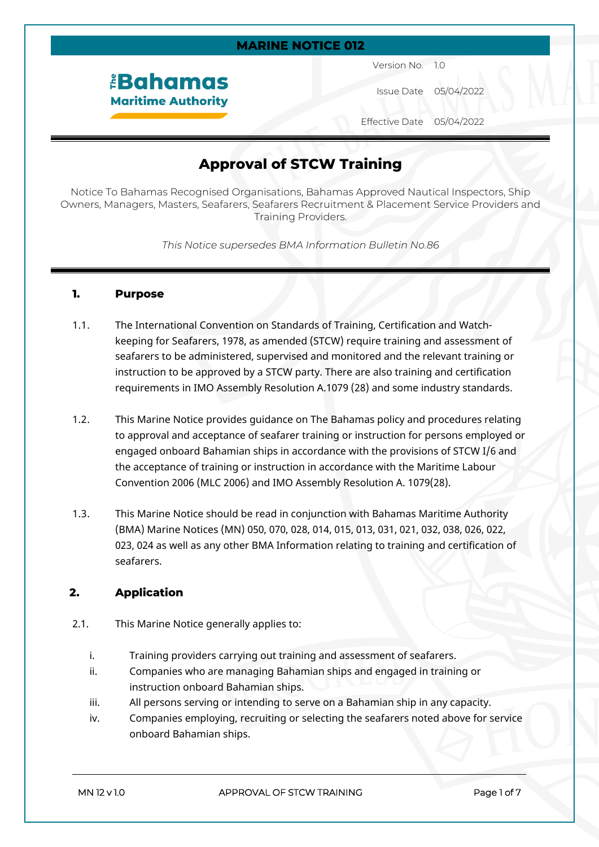#### **MARINE NOTICE 012**

*<u><b>EBahamas</u>* **Maritime Authority**  Version No. 1.0

Issue Date 05/04/2022

Effective Date 05/04/2022

# **Approval of STCW Training**

Notice To Bahamas Recognised Organisations, Bahamas Approved Nautical Inspectors, Ship Owners, Managers, Masters, Seafarers, Seafarers Recruitment & Placement Service Providers and Training Providers.

*This Notice supersedes BMA Information Bulletin No.86*

#### **1. Purpose**

- 1.1. The International Convention on Standards of Training, Certification and Watchkeeping for Seafarers, 1978, as amended (STCW) require training and assessment of seafarers to be administered, supervised and monitored and the relevant training or instruction to be approved by a STCW party. There are also training and certification requirements in IMO Assembly Resolution A.1079 (28) and some industry standards.
- 1.2. This Marine Notice provides guidance on The Bahamas policy and procedures relating to approval and acceptance of seafarer training or instruction for persons employed or engaged onboard Bahamian ships in accordance with the provisions of STCW I/6 and the acceptance of training or instruction in accordance with the Maritime Labour Convention 2006 (MLC 2006) and IMO Assembly Resolution A. 1079(28).
- 1.3. This Marine Notice should be read in conjunction with Bahamas Maritime Authority (BMA) Marine Notices (MN) 050, 070, 028, 014, 015, 013, 031, 021, 032, 038, 026, 022, 023, 024 as well as any other BMA Information relating to training and certification of seafarers.

## **2. Application**

- 2.1. This Marine Notice generally applies to:
	- i. Training providers carrying out training and assessment of seafarers.
	- ii. Companies who are managing Bahamian ships and engaged in training or instruction onboard Bahamian ships.
	- iii. All persons serving or intending to serve on a Bahamian ship in any capacity.
	- iv. Companies employing, recruiting or selecting the seafarers noted above for service onboard Bahamian ships.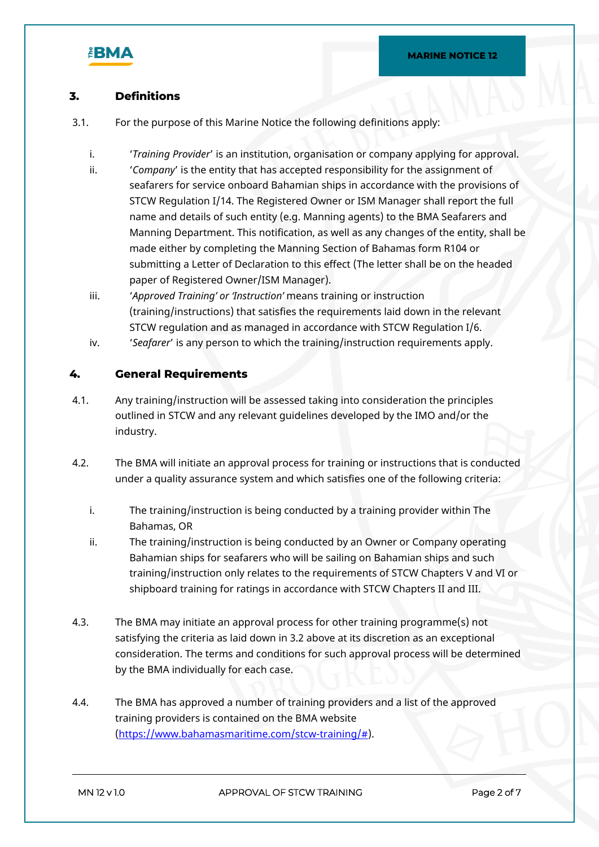

# **3. Definitions**

- 3.1. For the purpose of this Marine Notice the following definitions apply:
	- i. '*Training Provider*' is an institution, organisation or company applying for approval.
	- ii. '*Company*' is the entity that has accepted responsibility for the assignment of seafarers for service onboard Bahamian ships in accordance with the provisions of STCW Regulation I/14. The Registered Owner or ISM Manager shall report the full name and details of such entity (e.g. Manning agents) to the BMA Seafarers and Manning Department. This notification, as well as any changes of the entity, shall be made either by completing the Manning Section of Bahamas form R104 or submitting a Letter of Declaration to this effect (The letter shall be on the headed paper of Registered Owner/ISM Manager).
	- iii. '*Approved Training' or 'Instruction'* means training or instruction (training/instructions) that satisfies the requirements laid down in the relevant STCW regulation and as managed in accordance with STCW Regulation I/6.
	- iv. '*Seafarer*' is any person to which the training/instruction requirements apply.

## **4. General Requirements**

- 4.1. Any training/instruction will be assessed taking into consideration the principles outlined in STCW and any relevant guidelines developed by the IMO and/or the industry.
- 4.2. The BMA will initiate an approval process for training or instructions that is conducted under a quality assurance system and which satisfies one of the following criteria:
	- i. The training/instruction is being conducted by a training provider within The Bahamas, OR
	- ii. The training/instruction is being conducted by an Owner or Company operating Bahamian ships for seafarers who will be sailing on Bahamian ships and such training/instruction only relates to the requirements of STCW Chapters V and VI or shipboard training for ratings in accordance with STCW Chapters II and III.
- 4.3. The BMA may initiate an approval process for other training programme(s) not satisfying the criteria as laid down in 3.2 above at its discretion as an exceptional consideration. The terms and conditions for such approval process will be determined by the BMA individually for each case.
- 4.4. The BMA has approved a number of training providers and a list of the approved training providers is contained on the BMA website [\(https://www.bahamasmaritime.com/stcw-training/#\)](https://www.bahamasmaritime.com/stcw-training/).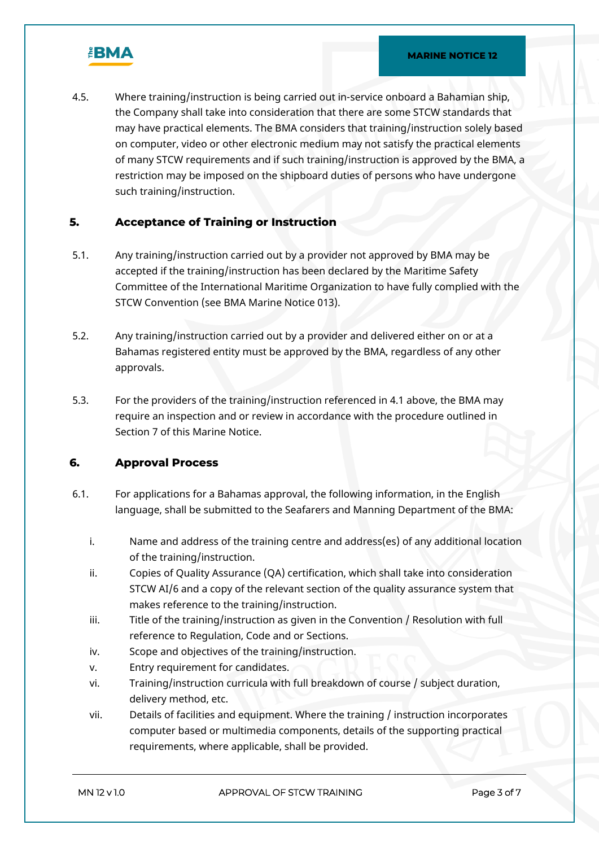

4.5. Where training/instruction is being carried out in-service onboard a Bahamian ship, the Company shall take into consideration that there are some STCW standards that may have practical elements. The BMA considers that training/instruction solely based on computer, video or other electronic medium may not satisfy the practical elements of many STCW requirements and if such training/instruction is approved by the BMA, a restriction may be imposed on the shipboard duties of persons who have undergone such training/instruction.

## **5. Acceptance of Training or Instruction**

- 5.1. Any training/instruction carried out by a provider not approved by BMA may be accepted if the training/instruction has been declared by the Maritime Safety Committee of the International Maritime Organization to have fully complied with the STCW Convention (see BMA Marine Notice 013).
- 5.2. Any training/instruction carried out by a provider and delivered either on or at a Bahamas registered entity must be approved by the BMA, regardless of any other approvals.
- 5.3. For the providers of the training/instruction referenced in 4.1 above, the BMA may require an inspection and or review in accordance with the procedure outlined in Section 7 of this Marine Notice.

#### **6. Approval Process**

- 6.1. For applications for a Bahamas approval, the following information, in the English language, shall be submitted to the Seafarers and Manning Department of the BMA:
	- i. Name and address of the training centre and address(es) of any additional location of the training/instruction.
	- ii. Copies of Quality Assurance (QA) certification, which shall take into consideration STCW AI/6 and a copy of the relevant section of the quality assurance system that makes reference to the training/instruction.
	- iii. Title of the training/instruction as given in the Convention / Resolution with full reference to Regulation, Code and or Sections.
	- iv. Scope and objectives of the training/instruction.
	- v. Entry requirement for candidates.
	- vi. Training/instruction curricula with full breakdown of course / subject duration, delivery method, etc.
	- vii. Details of facilities and equipment. Where the training / instruction incorporates computer based or multimedia components, details of the supporting practical requirements, where applicable, shall be provided.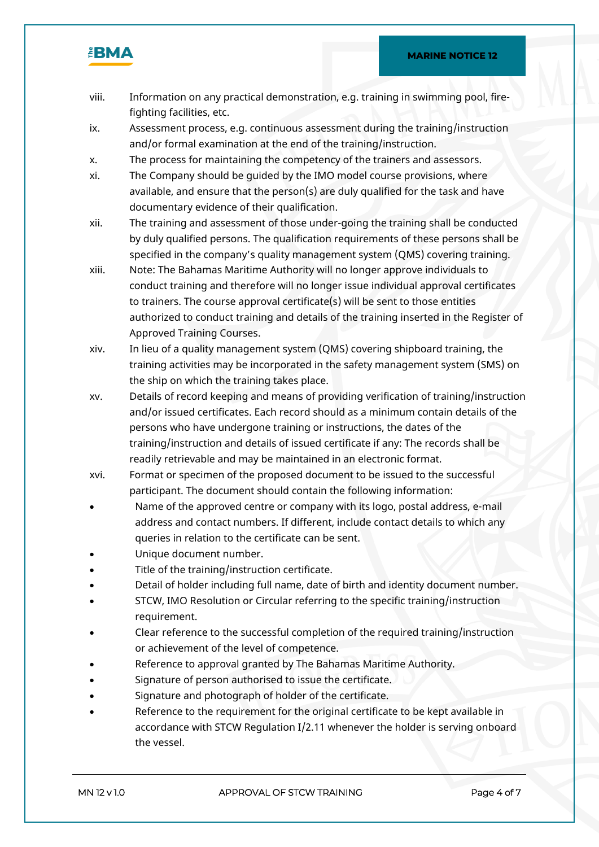

- viii. Information on any practical demonstration, e.g. training in swimming pool, firefighting facilities, etc.
- ix. Assessment process, e.g. continuous assessment during the training/instruction and/or formal examination at the end of the training/instruction.
- x. The process for maintaining the competency of the trainers and assessors.
- xi. The Company should be guided by the IMO model course provisions, where available, and ensure that the person(s) are duly qualified for the task and have documentary evidence of their qualification.
- xii. The training and assessment of those under-going the training shall be conducted by duly qualified persons. The qualification requirements of these persons shall be specified in the company's quality management system (QMS) covering training.
- xiii. Note: The Bahamas Maritime Authority will no longer approve individuals to conduct training and therefore will no longer issue individual approval certificates to trainers. The course approval certificate(s) will be sent to those entities authorized to conduct training and details of the training inserted in the Register of Approved Training Courses.
- xiv. In lieu of a quality management system (QMS) covering shipboard training, the training activities may be incorporated in the safety management system (SMS) on the ship on which the training takes place.
- xv. Details of record keeping and means of providing verification of training/instruction and/or issued certificates. Each record should as a minimum contain details of the persons who have undergone training or instructions, the dates of the training/instruction and details of issued certificate if any: The records shall be readily retrievable and may be maintained in an electronic format.
- xvi. Format or specimen of the proposed document to be issued to the successful participant. The document should contain the following information:
- Name of the approved centre or company with its logo, postal address, e-mail address and contact numbers. If different, include contact details to which any queries in relation to the certificate can be sent.
- Unique document number.
- Title of the training/instruction certificate.
- Detail of holder including full name, date of birth and identity document number.
- STCW, IMO Resolution or Circular referring to the specific training/instruction requirement.
- Clear reference to the successful completion of the required training/instruction or achievement of the level of competence.
- Reference to approval granted by The Bahamas Maritime Authority.
- Signature of person authorised to issue the certificate.
- Signature and photograph of holder of the certificate.
- Reference to the requirement for the original certificate to be kept available in accordance with STCW Regulation I/2.11 whenever the holder is serving onboard the vessel.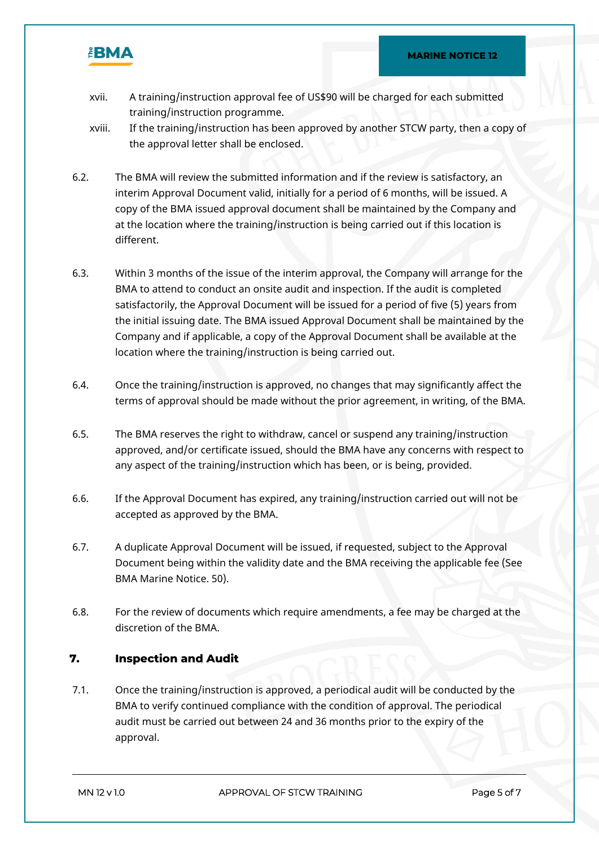

- xvii. A training/instruction approval fee of US\$90 will be charged for each submitted training/instruction programme.
- xviii. If the training/instruction has been approved by another STCW party, then a copy of the approval letter shall be enclosed.
- 6.2. The BMA will review the submitted information and if the review is satisfactory, an interim Approval Document valid, initially for a period of 6 months, will be issued. A copy of the BMA issued approval document shall be maintained by the Company and at the location where the training/instruction is being carried out if this location is different.
- 6.3. Within 3 months of the issue of the interim approval, the Company will arrange for the BMA to attend to conduct an onsite audit and inspection. If the audit is completed satisfactorily, the Approval Document will be issued for a period of five (5) years from the initial issuing date. The BMA issued Approval Document shall be maintained by the Company and if applicable, a copy of the Approval Document shall be available at the location where the training/instruction is being carried out.
- 6.4. Once the training/instruction is approved, no changes that may significantly affect the terms of approval should be made without the prior agreement, in writing, of the BMA.
- 6.5. The BMA reserves the right to withdraw, cancel or suspend any training/instruction approved, and/or certificate issued, should the BMA have any concerns with respect to any aspect of the training/instruction which has been, or is being, provided.
- 6.6. If the Approval Document has expired, any training/instruction carried out will not be accepted as approved by the BMA.
- 6.7. A duplicate Approval Document will be issued, if requested, subject to the Approval Document being within the validity date and the BMA receiving the applicable fee (See BMA Marine Notice. 50).
- 6.8. For the review of documents which require amendments, a fee may be charged at the discretion of the BMA.

## **7. Inspection and Audit**

7.1. Once the training/instruction is approved, a periodical audit will be conducted by the BMA to verify continued compliance with the condition of approval. The periodical audit must be carried out between 24 and 36 months prior to the expiry of the approval.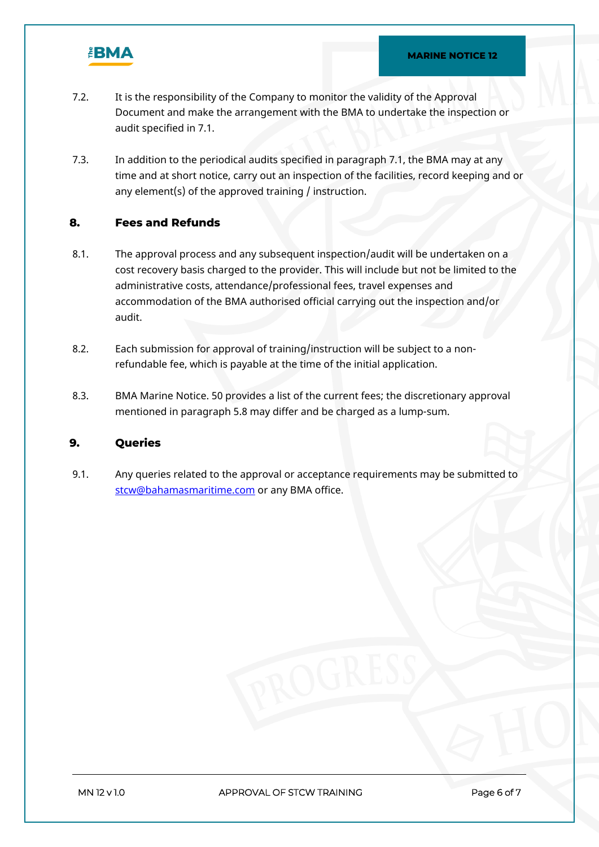

- 7.2. It is the responsibility of the Company to monitor the validity of the Approval Document and make the arrangement with the BMA to undertake the inspection or audit specified in 7.1.
- 7.3. In addition to the periodical audits specified in paragraph 7.1, the BMA may at any time and at short notice, carry out an inspection of the facilities, record keeping and or any element(s) of the approved training / instruction.

## **8. Fees and Refunds**

- 8.1. The approval process and any subsequent inspection/audit will be undertaken on a cost recovery basis charged to the provider. This will include but not be limited to the administrative costs, attendance/professional fees, travel expenses and accommodation of the BMA authorised official carrying out the inspection and/or audit.
- 8.2. Each submission for approval of training/instruction will be subject to a nonrefundable fee, which is payable at the time of the initial application.
- 8.3. BMA Marine Notice. 50 provides a list of the current fees; the discretionary approval mentioned in paragraph 5.8 may differ and be charged as a lump-sum.

## **9. Queries**

9.1. Any queries related to the approval or acceptance requirements may be submitted to [stcw@bahamasmaritime.com](mailto:stcw@bahamasmaritime.com) or any BMA office.